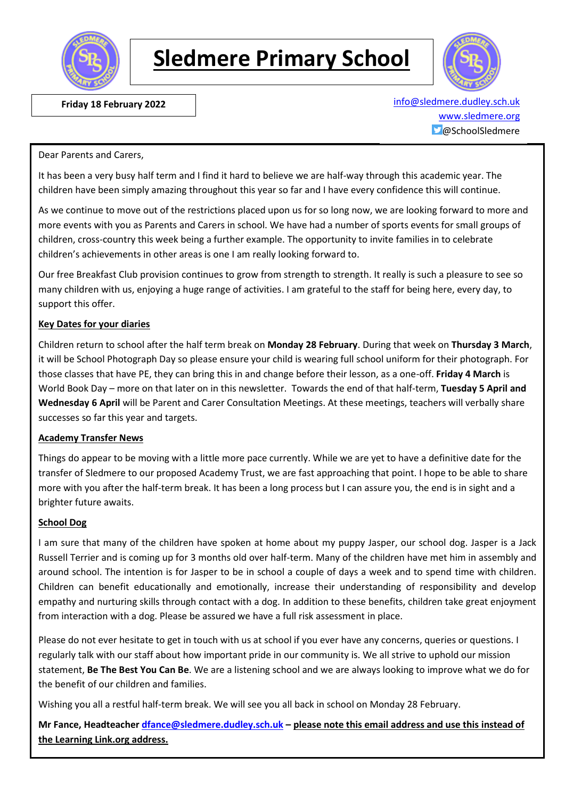

# **Sledmere Primary School**



**Friday 18 February 2022 [info@sledmere.dudley.sch.uk](mailto:info@sledmere.dudley.sch.uk)** [www.sledmere.org](http://www.sledmere.org/)  $\Box$ @SchoolSledmere

#### Dear Parents and Carers,

It has been a very busy half term and I find it hard to believe we are half-way through this academic year. The children have been simply amazing throughout this year so far and I have every confidence this will continue.

As we continue to move out of the restrictions placed upon us for so long now, we are looking forward to more and more events with you as Parents and Carers in school. We have had a number of sports events for small groups of children, cross-country this week being a further example. The opportunity to invite families in to celebrate children's achievements in other areas is one I am really looking forward to.

Our free Breakfast Club provision continues to grow from strength to strength. It really is such a pleasure to see so many children with us, enjoying a huge range of activities. I am grateful to the staff for being here, every day, to support this offer.

#### **Key Dates for your diaries**

Children return to school after the half term break on **Monday 28 February**. During that week on **Thursday 3 March**, it will be School Photograph Day so please ensure your child is wearing full school uniform for their photograph. For those classes that have PE, they can bring this in and change before their lesson, as a one-off. **Friday 4 March** is World Book Day – more on that later on in this newsletter. Towards the end of that half-term, **Tuesday 5 April and Wednesday 6 April** will be Parent and Carer Consultation Meetings. At these meetings, teachers will verbally share successes so far this year and targets.

#### **Academy Transfer News**

Things do appear to be moving with a little more pace currently. While we are yet to have a definitive date for the transfer of Sledmere to our proposed Academy Trust, we are fast approaching that point. I hope to be able to share more with you after the half-term break. It has been a long process but I can assure you, the end is in sight and a brighter future awaits.

#### **School Dog**

I am sure that many of the children have spoken at home about my puppy Jasper, our school dog. Jasper is a Jack Russell Terrier and is coming up for 3 months old over half-term. Many of the children have met him in assembly and around school. The intention is for Jasper to be in school a couple of days a week and to spend time with children. Children can benefit educationally and emotionally, increase their understanding of responsibility and develop empathy and nurturing skills through contact with a dog. In addition to these benefits, children take great enjoyment from interaction with a dog. Please be assured we have a full risk assessment in place.

Please do not ever hesitate to get in touch with us at school if you ever have any concerns, queries or questions. I regularly talk with our staff about how important pride in our community is. We all strive to uphold our mission statement, **Be The Best You Can Be**. We are a listening school and we are always looking to improve what we do for the benefit of our children and families.

Wishing you all a restful half-term break. We will see you all back in school on Monday 28 February.

**Mr Fance, Headteacher [dfance@sledmere.dudley.sch.uk](mailto:dfance@sledmere.dudley.sch.uk) – please note this email address and use this instead of the Learning Link.org address.**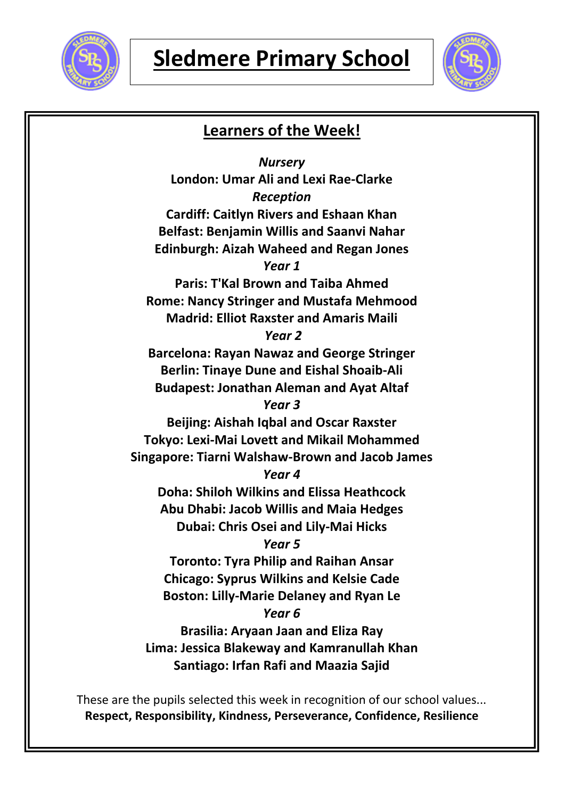



## **Learners of the Week!**

*Nursery* **London: Umar Ali and Lexi Rae-Clarke** *Reception* **Cardiff: Caitlyn Rivers and Eshaan Khan Belfast: Benjamin Willis and Saanvi Nahar Edinburgh: Aizah Waheed and Regan Jones** *Year 1* **Paris: T'Kal Brown and Taiba Ahmed Rome: Nancy Stringer and Mustafa Mehmood Madrid: Elliot Raxster and Amaris Maili** *Year 2* **Barcelona: Rayan Nawaz and George Stringer Berlin: Tinaye Dune and Eishal Shoaib-Ali Budapest: Jonathan Aleman and Ayat Altaf** *Year 3* **Beijing: Aishah Iqbal and Oscar Raxster Tokyo: Lexi-Mai Lovett and Mikail Mohammed Singapore: Tiarni Walshaw-Brown and Jacob James** *Year 4* **Doha: Shiloh Wilkins and Elissa Heathcock Abu Dhabi: Jacob Willis and Maia Hedges Dubai: Chris Osei and Lily-Mai Hicks** *Year 5* **Toronto: Tyra Philip and Raihan Ansar Chicago: Syprus Wilkins and Kelsie Cade Boston: Lilly-Marie Delaney and Ryan Le** *Year 6* **Brasilia: Aryaan Jaan and Eliza Ray Lima: Jessica Blakeway and Kamranullah Khan Santiago: Irfan Rafi and Maazia Sajid**

These are the pupils selected this week in recognition of our school values... **Respect, Responsibility, Kindness, Perseverance, Confidence, Resilience**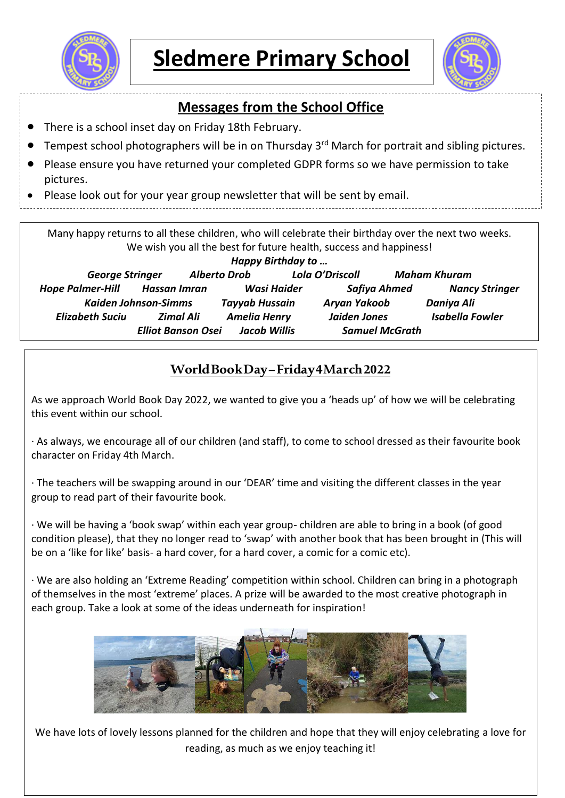



## **Messages from the School Office**

- There is a school inset day on Friday 18th February.
- Tempest school photographers will be in on Thursday 3<sup>rd</sup> March for portrait and sibling pictures.
- Please ensure you have returned your completed GDPR forms so we have permission to take pictures.
- Please look out for your year group newsletter that will be sent by email.

Many happy returns to all these children, who will celebrate their birthday over the next two weeks. We wish you all the best for future health, success and happiness! *Happy Birthday to … George Stringer Alberto Drob Lola O'Driscoll Maham Khuram Hope Palmer-Hill Hassan Imran Wasi Haider Safiya Ahmed Nancy Stringer Kaiden Johnson-Simms Tayyab Hussain Aryan Yakoob Daniya Ali Elizabeth Suciu Zimal Ali Amelia Henry Jaiden Jones Isabella Fowler Elliot Banson Osei Jacob Willis Samuel McGrath*

## **World Book Day –Friday 4 March2022**

As we approach World Book Day 2022, we wanted to give you a 'heads up' of how we will be celebrating this event within our school.

· As always, we encourage all of our children (and staff), to come to school dressed as their favourite book character on Friday 4th March.

· The teachers will be swapping around in our 'DEAR' time and visiting the different classes in the year group to read part of their favourite book.

· We will be having a 'book swap' within each year group- children are able to bring in a book (of good condition please), that they no longer read to 'swap' with another book that has been brought in (This will be on a 'like for like' basis- a hard cover, for a hard cover, a comic for a comic etc).

· We are also holding an 'Extreme Reading' competition within school. Children can bring in a photograph of themselves in the most 'extreme' places. A prize will be awarded to the most creative photograph in each group. Take a look at some of the ideas underneath for inspiration!



We have lots of lovely lessons planned for the children and hope that they will enjoy celebrating a love for reading, as much as we enjoy teaching it!